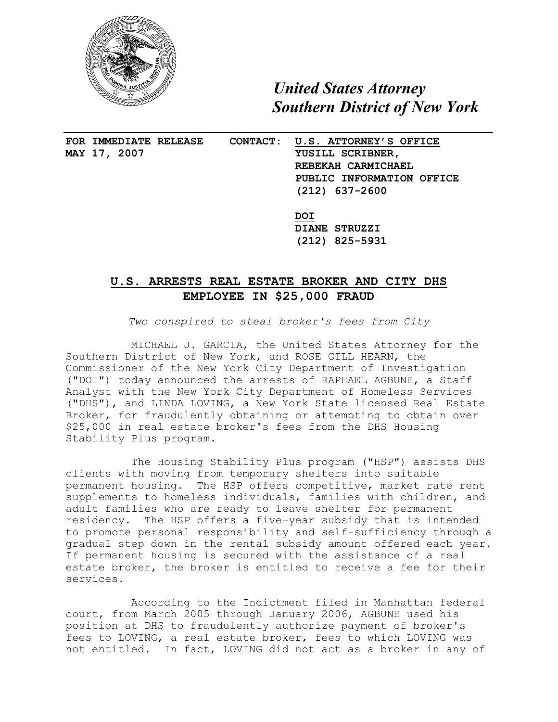

 *United States Attorney Southern District of New York*

**MAY 17, 2007 YUSILL SCRIBNER,** 

 $\overline{a}$ 

**FOR IMMEDIATE RELEASE CONTACT: U.S. ATTORNEY'S OFFICE REBEKAH CARMICHAEL PUBLIC INFORMATION OFFICE (212) 637-2600**

> **DOI DIANE STRUZZI (212) 825-5931**

## **U.S. ARRESTS REAL ESTATE BROKER AND CITY DHS EMPLOYEE IN \$25,000 FRAUD**

*Two conspired to steal broker's fees from City*

MICHAEL J. GARCIA, the United States Attorney for the Southern District of New York, and ROSE GILL HEARN, the Commissioner of the New York City Department of Investigation ("DOI") today announced the arrests of RAPHAEL AGBUNE, a Staff Analyst with the New York City Department of Homeless Services ("DHS"), and LINDA LOVING, a New York State licensed Real Estate Broker, for fraudulently obtaining or attempting to obtain over \$25,000 in real estate broker's fees from the DHS Housing Stability Plus program.

The Housing Stability Plus program ("HSP") assists DHS clients with moving from temporary shelters into suitable permanent housing. The HSP offers competitive, market rate rent supplements to homeless individuals, families with children, and adult families who are ready to leave shelter for permanent residency. The HSP offers a five-year subsidy that is intended to promote personal responsibility and self-sufficiency through a gradual step down in the rental subsidy amount offered each year. If permanent housing is secured with the assistance of a real estate broker, the broker is entitled to receive a fee for their services.

According to the Indictment filed in Manhattan federal court, from March 2005 through January 2006, AGBUNE used his position at DHS to fraudulently authorize payment of broker's fees to LOVING, a real estate broker, fees to which LOVING was not entitled. In fact, LOVING did not act as a broker in any of